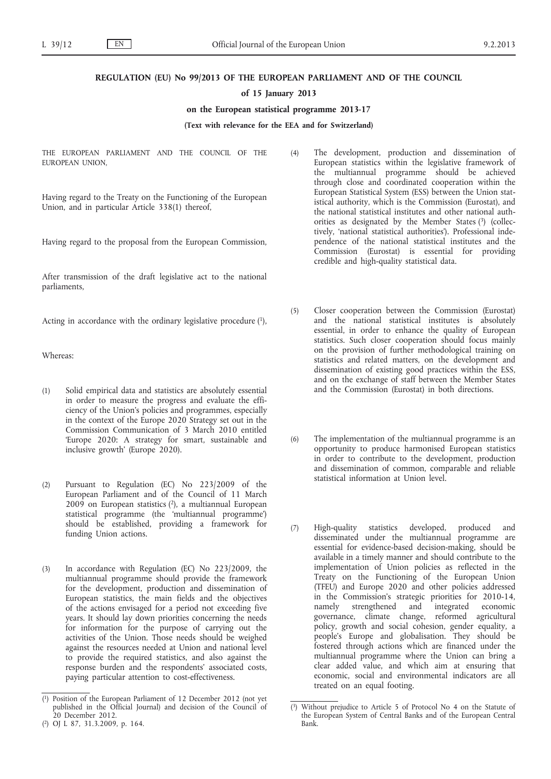### **REGULATION (EU) No 99/2013 OF THE EUROPEAN PARLIAMENT AND OF THE COUNCIL**

## **of 15 January 2013**

## **on the European statistical programme 2013-17**

## **(Text with relevance for the EEA and for Switzerland)**

THE EUROPEAN PARLIAMENT AND THE COUNCIL OF THE EUROPEAN UNION,

Having regard to the Treaty on the Functioning of the European Union, and in particular Article 338(1) thereof,

Having regard to the proposal from the European Commission,

After transmission of the draft legislative act to the national parliaments,

Acting in accordance with the ordinary legislative procedure (1),

Whereas:

- (1) Solid empirical data and statistics are absolutely essential in order to measure the progress and evaluate the efficiency of the Union's policies and programmes, especially in the context of the Europe 2020 Strategy set out in the Commission Communication of 3 March 2010 entitled 'Europe 2020: A strategy for smart, sustainable and inclusive growth' (Europe 2020).
- (2) Pursuant to Regulation (EC) No 223/2009 of the European Parliament and of the Council of 11 March 2009 on European statistics (2), a multiannual European statistical programme (the 'multiannual programme') should be established, providing a framework for funding Union actions.
- (3) In accordance with Regulation (EC) No 223/2009, the multiannual programme should provide the framework for the development, production and dissemination of European statistics, the main fields and the objectives of the actions envisaged for a period not exceeding five years. It should lay down priorities concerning the needs for information for the purpose of carrying out the activities of the Union. Those needs should be weighed against the resources needed at Union and national level to provide the required statistics, and also against the response burden and the respondents' associated costs, paying particular attention to cost-effectiveness.
- (4) The development, production and dissemination of European statistics within the legislative framework of the multiannual programme should be achieved through close and coordinated cooperation within the European Statistical System (ESS) between the Union statistical authority, which is the Commission (Eurostat), and the national statistical institutes and other national authorities as designated by the Member States (3) (collectively, 'national statistical authorities'). Professional independence of the national statistical institutes and the Commission (Eurostat) is essential for providing credible and high-quality statistical data.
- (5) Closer cooperation between the Commission (Eurostat) and the national statistical institutes is absolutely essential, in order to enhance the quality of European statistics. Such closer cooperation should focus mainly on the provision of further methodological training on statistics and related matters, on the development and dissemination of existing good practices within the ESS, and on the exchange of staff between the Member States and the Commission (Eurostat) in both directions.
- (6) The implementation of the multiannual programme is an opportunity to produce harmonised European statistics in order to contribute to the development, production and dissemination of common, comparable and reliable statistical information at Union level.
- (7) High-quality statistics developed, produced and disseminated under the multiannual programme are essential for evidence-based decision-making, should be available in a timely manner and should contribute to the implementation of Union policies as reflected in the Treaty on the Functioning of the European Union (TFEU) and Europe 2020 and other policies addressed in the Commission's strategic priorities for 2010-14, namely strengthened and integrated economic governance, climate change, reformed agricultural policy, growth and social cohesion, gender equality, a people's Europe and globalisation. They should be fostered through actions which are financed under the multiannual programme where the Union can bring a clear added value, and which aim at ensuring that economic, social and environmental indicators are all treated on an equal footing.

<sup>(</sup> 1) Position of the European Parliament of 12 December 2012 (not yet published in the Official Journal) and decision of the Council of 20 December 2012.

<sup>(</sup> 2) OJ L 87, 31.3.2009, p. 164.

<sup>(</sup> Without prejudice to Article 5 of Protocol No 4 on the Statute of the European System of Central Banks and of the European Central Bank.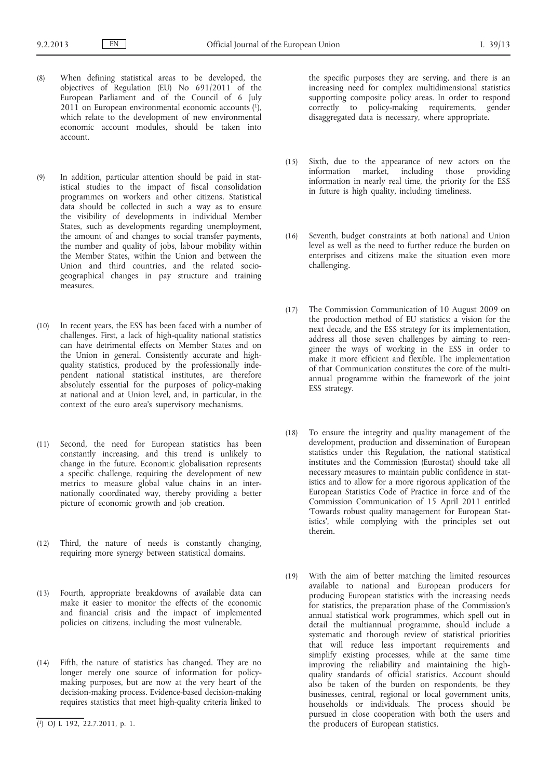- (8) When defining statistical areas to be developed, the objectives of Regulation (EU) No 691/2011 of the European Parliament and of the Council of 6 July  $2011$  on European environmental economic accounts  $(1)$ , which relate to the development of new environmental economic account modules, should be taken into account.
- (9) In addition, particular attention should be paid in statistical studies to the impact of fiscal consolidation programmes on workers and other citizens. Statistical data should be collected in such a way as to ensure the visibility of developments in individual Member States, such as developments regarding unemployment, the amount of and changes to social transfer payments, the number and quality of jobs, labour mobility within the Member States, within the Union and between the Union and third countries, and the related sociogeographical changes in pay structure and training measures.
- (10) In recent years, the ESS has been faced with a number of challenges. First, a lack of high-quality national statistics can have detrimental effects on Member States and on the Union in general. Consistently accurate and highquality statistics, produced by the professionally independent national statistical institutes, are therefore absolutely essential for the purposes of policy-making at national and at Union level, and, in particular, in the context of the euro area's supervisory mechanisms.
- (11) Second, the need for European statistics has been constantly increasing, and this trend is unlikely to change in the future. Economic globalisation represents a specific challenge, requiring the development of new metrics to measure global value chains in an internationally coordinated way, thereby providing a better picture of economic growth and job creation.
- (12) Third, the nature of needs is constantly changing, requiring more synergy between statistical domains.
- (13) Fourth, appropriate breakdowns of available data can make it easier to monitor the effects of the economic and financial crisis and the impact of implemented policies on citizens, including the most vulnerable.
- (14) Fifth, the nature of statistics has changed. They are no longer merely one source of information for policymaking purposes, but are now at the very heart of the decision-making process. Evidence-based decision-making requires statistics that meet high-quality criteria linked to

the specific purposes they are serving, and there is an increasing need for complex multidimensional statistics supporting composite policy areas. In order to respond correctly to policy-making requirements, gender disaggregated data is necessary, where appropriate.

- (15) Sixth, due to the appearance of new actors on the information market, including those providing information in nearly real time, the priority for the ESS in future is high quality, including timeliness.
- (16) Seventh, budget constraints at both national and Union level as well as the need to further reduce the burden on enterprises and citizens make the situation even more challenging.
- (17) The Commission Communication of 10 August 2009 on the production method of EU statistics: a vision for the next decade, and the ESS strategy for its implementation, address all those seven challenges by aiming to reengineer the ways of working in the ESS in order to make it more efficient and flexible. The implementation of that Communication constitutes the core of the multiannual programme within the framework of the joint ESS strategy.
- (18) To ensure the integrity and quality management of the development, production and dissemination of European statistics under this Regulation, the national statistical institutes and the Commission (Eurostat) should take all necessary measures to maintain public confidence in statistics and to allow for a more rigorous application of the European Statistics Code of Practice in force and of the Commission Communication of 15 April 2011 entitled 'Towards robust quality management for European Statistics', while complying with the principles set out therein.
- (19) With the aim of better matching the limited resources available to national and European producers for producing European statistics with the increasing needs for statistics, the preparation phase of the Commission's annual statistical work programmes, which spell out in detail the multiannual programme, should include a systematic and thorough review of statistical priorities that will reduce less important requirements and simplify existing processes, while at the same time improving the reliability and maintaining the highquality standards of official statistics. Account should also be taken of the burden on respondents, be they businesses, central, regional or local government units, households or individuals. The process should be pursued in close cooperation with both the users and the producers of European statistics.

<sup>(</sup> 1) OJ L 192, 22.7.2011, p. 1.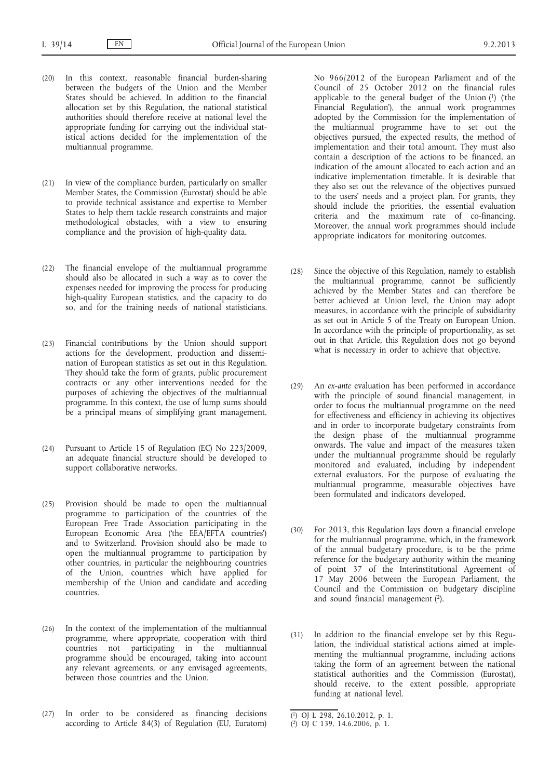- (20) In this context, reasonable financial burden-sharing between the budgets of the Union and the Member States should be achieved. In addition to the financial allocation set by this Regulation, the national statistical authorities should therefore receive at national level the appropriate funding for carrying out the individual statistical actions decided for the implementation of the multiannual programme.
- (21) In view of the compliance burden, particularly on smaller Member States, the Commission (Eurostat) should be able to provide technical assistance and expertise to Member States to help them tackle research constraints and major methodological obstacles, with a view to ensuring compliance and the provision of high-quality data.
- (22) The financial envelope of the multiannual programme should also be allocated in such a way as to cover the expenses needed for improving the process for producing high-quality European statistics, and the capacity to do so, and for the training needs of national statisticians.
- (23) Financial contributions by the Union should support actions for the development, production and dissemination of European statistics as set out in this Regulation. They should take the form of grants, public procurement contracts or any other interventions needed for the purposes of achieving the objectives of the multiannual programme. In this context, the use of lump sums should be a principal means of simplifying grant management.
- (24) Pursuant to Article 15 of Regulation (EC) No 223/2009, an adequate financial structure should be developed to support collaborative networks.
- (25) Provision should be made to open the multiannual programme to participation of the countries of the European Free Trade Association participating in the European Economic Area ('the EEA/EFTA countries') and to Switzerland. Provision should also be made to open the multiannual programme to participation by other countries, in particular the neighbouring countries of the Union, countries which have applied for membership of the Union and candidate and acceding countries.
- (26) In the context of the implementation of the multiannual programme, where appropriate, cooperation with third countries not participating in the multiannual programme should be encouraged, taking into account any relevant agreements, or any envisaged agreements, between those countries and the Union.
- (27) In order to be considered as financing decisions according to Article 84(3) of Regulation (EU, Euratom)

No 966/2012 of the European Parliament and of the Council of 25 October 2012 on the financial rules applicable to the general budget of the Union (1) ('the Financial Regulation'), the annual work programmes adopted by the Commission for the implementation of the multiannual programme have to set out the objectives pursued, the expected results, the method of implementation and their total amount. They must also contain a description of the actions to be financed, an indication of the amount allocated to each action and an indicative implementation timetable. It is desirable that they also set out the relevance of the objectives pursued to the users' needs and a project plan. For grants, they should include the priorities, the essential evaluation criteria and the maximum rate of co-financing. Moreover, the annual work programmes should include appropriate indicators for monitoring outcomes.

- (28) Since the objective of this Regulation, namely to establish the multiannual programme, cannot be sufficiently achieved by the Member States and can therefore be better achieved at Union level, the Union may adopt measures, in accordance with the principle of subsidiarity as set out in Article 5 of the Treaty on European Union. In accordance with the principle of proportionality, as set out in that Article, this Regulation does not go beyond what is necessary in order to achieve that objective.
- (29) An *ex-ante* evaluation has been performed in accordance with the principle of sound financial management, in order to focus the multiannual programme on the need for effectiveness and efficiency in achieving its objectives and in order to incorporate budgetary constraints from the design phase of the multiannual programme onwards. The value and impact of the measures taken under the multiannual programme should be regularly monitored and evaluated, including by independent external evaluators. For the purpose of evaluating the multiannual programme, measurable objectives have been formulated and indicators developed.
- (30) For 2013, this Regulation lays down a financial envelope for the multiannual programme, which, in the framework of the annual budgetary procedure, is to be the prime reference for the budgetary authority within the meaning of point 37 of the Interinstitutional Agreement of 17 May 2006 between the European Parliament, the Council and the Commission on budgetary discipline and sound financial management (2).
- (31) In addition to the financial envelope set by this Regulation, the individual statistical actions aimed at implementing the multiannual programme, including actions taking the form of an agreement between the national statistical authorities and the Commission (Eurostat), should receive, to the extent possible, appropriate funding at national level.

<sup>(</sup> 1) OJ L 298, 26.10.2012, p. 1.

<sup>(</sup> 2) OJ C 139, 14.6.2006, p. 1.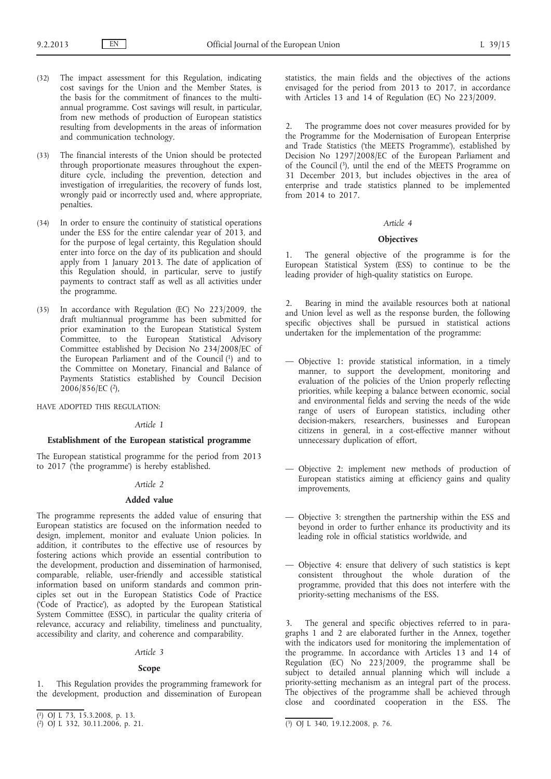- (32) The impact assessment for this Regulation, indicating cost savings for the Union and the Member States, is the basis for the commitment of finances to the multiannual programme. Cost savings will result, in particular, from new methods of production of European statistics resulting from developments in the areas of information and communication technology.
- (33) The financial interests of the Union should be protected through proportionate measures throughout the expenditure cycle, including the prevention, detection and investigation of irregularities, the recovery of funds lost, wrongly paid or incorrectly used and, where appropriate, penalties.
- (34) In order to ensure the continuity of statistical operations under the ESS for the entire calendar year of 2013, and for the purpose of legal certainty, this Regulation should enter into force on the day of its publication and should apply from 1 January 2013. The date of application of this Regulation should, in particular, serve to justify payments to contract staff as well as all activities under the programme.
- (35) In accordance with Regulation (EC) No 223/2009, the draft multiannual programme has been submitted for prior examination to the European Statistical System Committee, to the European Statistical Advisory Committee established by Decision No 234/2008/EC of the European Parliament and of the Council (1) and to the Committee on Monetary, Financial and Balance of Payments Statistics established by Council Decision 2006/856/EC (2),

HAVE ADOPTED THIS REGULATION:

#### *Article 1*

## **Establishment of the European statistical programme**

The European statistical programme for the period from 2013 to 2017 ('the programme') is hereby established.

#### *Article 2*

## **Added value**

The programme represents the added value of ensuring that European statistics are focused on the information needed to design, implement, monitor and evaluate Union policies. In addition, it contributes to the effective use of resources by fostering actions which provide an essential contribution to the development, production and dissemination of harmonised, comparable, reliable, user-friendly and accessible statistical information based on uniform standards and common principles set out in the European Statistics Code of Practice ('Code of Practice'), as adopted by the European Statistical System Committee (ESSC), in particular the quality criteria of relevance, accuracy and reliability, timeliness and punctuality, accessibility and clarity, and coherence and comparability.

# *Article 3*

#### **Scope**

This Regulation provides the programming framework for the development, production and dissemination of European statistics, the main fields and the objectives of the actions envisaged for the period from 2013 to 2017, in accordance with Articles 13 and 14 of Regulation (EC) No 223/2009.

2. The programme does not cover measures provided for by the Programme for the Modernisation of European Enterprise and Trade Statistics ('the MEETS Programme'), established by Decision No 1297/2008/EC of the European Parliament and of the Council (3), until the end of the MEETS Programme on 31 December 2013, but includes objectives in the area of enterprise and trade statistics planned to be implemented from 2014 to 2017.

## *Article 4*

# **Objectives**

1. The general objective of the programme is for the European Statistical System (ESS) to continue to be the leading provider of high-quality statistics on Europe.

2. Bearing in mind the available resources both at national and Union level as well as the response burden, the following specific objectives shall be pursued in statistical actions undertaken for the implementation of the programme:

- Objective 1: provide statistical information, in a timely manner, to support the development, monitoring and evaluation of the policies of the Union properly reflecting priorities, while keeping a balance between economic, social and environmental fields and serving the needs of the wide range of users of European statistics, including other decision-makers, researchers, businesses and European citizens in general, in a cost-effective manner without unnecessary duplication of effort,
- Objective 2: implement new methods of production of European statistics aiming at efficiency gains and quality improvements,
- Objective 3: strengthen the partnership within the ESS and beyond in order to further enhance its productivity and its leading role in official statistics worldwide, and
- Objective 4: ensure that delivery of such statistics is kept consistent throughout the whole duration of the programme, provided that this does not interfere with the priority-setting mechanisms of the ESS.

3. The general and specific objectives referred to in paragraphs 1 and 2 are elaborated further in the Annex, together with the indicators used for monitoring the implementation of the programme. In accordance with Articles 13 and 14 of Regulation (EC) No 223/2009, the programme shall be subject to detailed annual planning which will include a priority-setting mechanism as an integral part of the process. The objectives of the programme shall be achieved through close and coordinated cooperation in the ESS. The

<sup>(</sup> 1) OJ L 73, 15.3.2008, p. 13.

<sup>(</sup> 2) OJ L 332, 30.11.2006, p. 21. (3) OJ L 340, 19.12.2008, p. 76.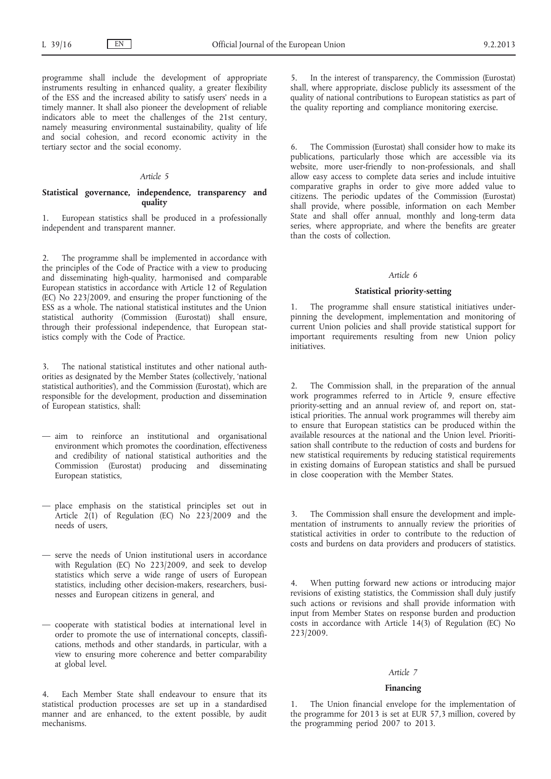programme shall include the development of appropriate instruments resulting in enhanced quality, a greater flexibility of the ESS and the increased ability to satisfy users' needs in a timely manner. It shall also pioneer the development of reliable indicators able to meet the challenges of the 21st century, namely measuring environmental sustainability, quality of life and social cohesion, and record economic activity in the tertiary sector and the social economy.

# *Article 5*

## **Statistical governance, independence, transparency and quality**

1. European statistics shall be produced in a professionally independent and transparent manner.

2. The programme shall be implemented in accordance with the principles of the Code of Practice with a view to producing and disseminating high-quality, harmonised and comparable European statistics in accordance with Article 12 of Regulation (EC) No 223/2009, and ensuring the proper functioning of the ESS as a whole. The national statistical institutes and the Union statistical authority (Commission (Eurostat)) shall ensure, through their professional independence, that European statistics comply with the Code of Practice.

3. The national statistical institutes and other national authorities as designated by the Member States (collectively, 'national statistical authorities'), and the Commission (Eurostat), which are responsible for the development, production and dissemination of European statistics, shall:

- aim to reinforce an institutional and organisational environment which promotes the coordination, effectiveness and credibility of national statistical authorities and the Commission (Eurostat) producing and disseminating European statistics,
- place emphasis on the statistical principles set out in Article  $2(1)$  of Regulation (EC) No  $22\frac{3}{2009}$  and the needs of users,
- serve the needs of Union institutional users in accordance with Regulation (EC) No 223/2009, and seek to develop statistics which serve a wide range of users of European statistics, including other decision-makers, researchers, businesses and European citizens in general, and
- cooperate with statistical bodies at international level in order to promote the use of international concepts, classifications, methods and other standards, in particular, with a view to ensuring more coherence and better comparability at global level.

4. Each Member State shall endeavour to ensure that its statistical production processes are set up in a standardised manner and are enhanced, to the extent possible, by audit mechanisms.

5. In the interest of transparency, the Commission (Eurostat) shall, where appropriate, disclose publicly its assessment of the quality of national contributions to European statistics as part of the quality reporting and compliance monitoring exercise.

6. The Commission (Eurostat) shall consider how to make its publications, particularly those which are accessible via its website, more user-friendly to non-professionals, and shall allow easy access to complete data series and include intuitive comparative graphs in order to give more added value to citizens. The periodic updates of the Commission (Eurostat) shall provide, where possible, information on each Member State and shall offer annual, monthly and long-term data series, where appropriate, and where the benefits are greater than the costs of collection.

#### *Article 6*

#### **Statistical priority-setting**

1. The programme shall ensure statistical initiatives underpinning the development, implementation and monitoring of current Union policies and shall provide statistical support for important requirements resulting from new Union policy initiatives.

The Commission shall, in the preparation of the annual work programmes referred to in Article 9, ensure effective priority-setting and an annual review of, and report on, statistical priorities. The annual work programmes will thereby aim to ensure that European statistics can be produced within the available resources at the national and the Union level. Prioritisation shall contribute to the reduction of costs and burdens for new statistical requirements by reducing statistical requirements in existing domains of European statistics and shall be pursued in close cooperation with the Member States.

3. The Commission shall ensure the development and implementation of instruments to annually review the priorities of statistical activities in order to contribute to the reduction of costs and burdens on data providers and producers of statistics.

4. When putting forward new actions or introducing major revisions of existing statistics, the Commission shall duly justify such actions or revisions and shall provide information with input from Member States on response burden and production costs in accordance with Article 14(3) of Regulation (EC) No 223/2009.

#### *Article 7*

#### **Financing**

1. The Union financial envelope for the implementation of the programme for 2013 is set at EUR 57,3 million, covered by the programming period 2007 to 2013.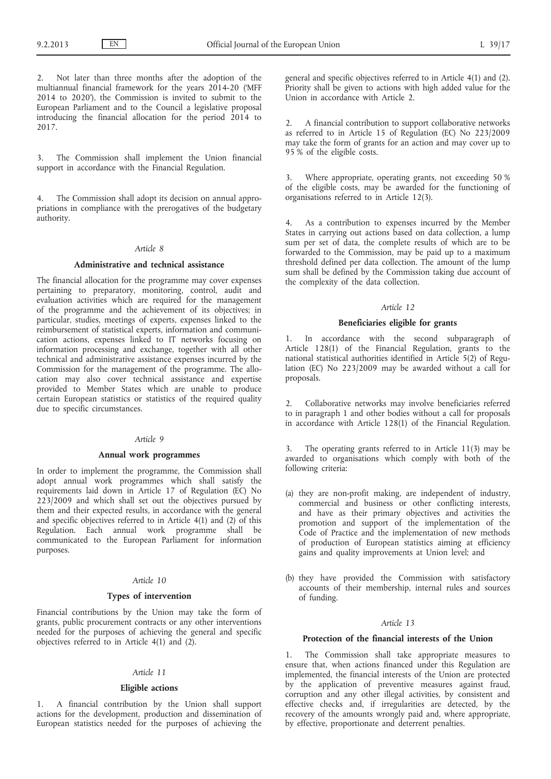Not later than three months after the adoption of the multiannual financial framework for the years 2014-20 ('MFF 2014 to 2020'), the Commission is invited to submit to the European Parliament and to the Council a legislative proposal introducing the financial allocation for the period 2014 to 2017.

The Commission shall implement the Union financial support in accordance with the Financial Regulation.

4. The Commission shall adopt its decision on annual appropriations in compliance with the prerogatives of the budgetary authority.

#### *Article 8*

### **Administrative and technical assistance**

The financial allocation for the programme may cover expenses pertaining to preparatory, monitoring, control, audit and evaluation activities which are required for the management of the programme and the achievement of its objectives; in particular, studies, meetings of experts, expenses linked to the reimbursement of statistical experts, information and communication actions, expenses linked to IT networks focusing on information processing and exchange, together with all other technical and administrative assistance expenses incurred by the Commission for the management of the programme. The allocation may also cover technical assistance and expertise provided to Member States which are unable to produce certain European statistics or statistics of the required quality due to specific circumstances.

## *Article 9*

## **Annual work programmes**

In order to implement the programme, the Commission shall adopt annual work programmes which shall satisfy the requirements laid down in Article 17 of Regulation (EC) No 223/2009 and which shall set out the objectives pursued by them and their expected results, in accordance with the general and specific objectives referred to in Article  $4(1)$  and  $(2)$  of this Regulation. Each annual work programme shall be communicated to the European Parliament for information purposes.

## *Article 10*

### **Types of intervention**

Financial contributions by the Union may take the form of grants, public procurement contracts or any other interventions needed for the purposes of achieving the general and specific objectives referred to in Article  $4(1)$  and  $(2)$ .

## *Article 11*

### **Eligible actions**

1. A financial contribution by the Union shall support actions for the development, production and dissemination of European statistics needed for the purposes of achieving the general and specific objectives referred to in Article 4(1) and (2). Priority shall be given to actions with high added value for the Union in accordance with Article 2.

2. A financial contribution to support collaborative networks as referred to in Article 15 of Regulation (EC) No 223/2009 may take the form of grants for an action and may cover up to 95 % of the eligible costs.

3. Where appropriate, operating grants, not exceeding 50 % of the eligible costs, may be awarded for the functioning of organisations referred to in Article 12(3).

As a contribution to expenses incurred by the Member States in carrying out actions based on data collection, a lump sum per set of data, the complete results of which are to be forwarded to the Commission, may be paid up to a maximum threshold defined per data collection. The amount of the lump sum shall be defined by the Commission taking due account of the complexity of the data collection.

### *Article 12*

## **Beneficiaries eligible for grants**

1. In accordance with the second subparagraph of Article 128(1) of the Financial Regulation, grants to the national statistical authorities identified in Article 5(2) of Regulation (EC) No 223/2009 may be awarded without a call for proposals.

2. Collaborative networks may involve beneficiaries referred to in paragraph 1 and other bodies without a call for proposals in accordance with Article 128(1) of the Financial Regulation.

3. The operating grants referred to in Article 11(3) may be awarded to organisations which comply with both of the following criteria:

- (a) they are non-profit making, are independent of industry, commercial and business or other conflicting interests, and have as their primary objectives and activities the promotion and support of the implementation of the Code of Practice and the implementation of new methods of production of European statistics aiming at efficiency gains and quality improvements at Union level; and
- (b) they have provided the Commission with satisfactory accounts of their membership, internal rules and sources of funding.

# *Article 13*

## **Protection of the financial interests of the Union**

1. The Commission shall take appropriate measures to ensure that, when actions financed under this Regulation are implemented, the financial interests of the Union are protected by the application of preventive measures against fraud, corruption and any other illegal activities, by consistent and effective checks and, if irregularities are detected, by the recovery of the amounts wrongly paid and, where appropriate, by effective, proportionate and deterrent penalties.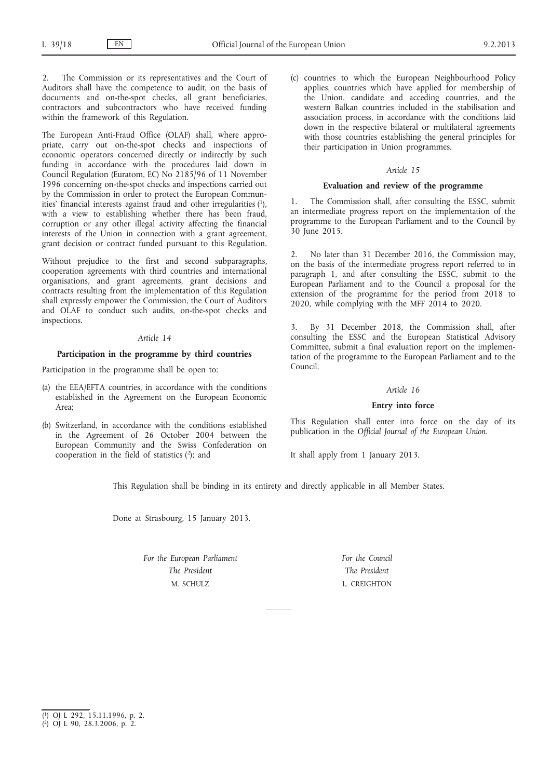2. The Commission or its representatives and the Court of Auditors shall have the competence to audit, on the basis of documents and on-the-spot checks, all grant beneficiaries, contractors and subcontractors who have received funding within the framework of this Regulation.

The European Anti-Fraud Office (OLAF) shall, where appropriate, carry out on-the-spot checks and inspections of economic operators concerned directly or indirectly by such funding in accordance with the procedures laid down in Council Regulation (Euratom, EC) No 2185/96 of 11 November 1996 concerning on-the-spot checks and inspections carried out by the Commission in order to protect the European Communities' financial interests against fraud and other irregularities (1), with a view to establishing whether there has been fraud, corruption or any other illegal activity affecting the financial interests of the Union in connection with a grant agreement, grant decision or contract funded pursuant to this Regulation.

Without prejudice to the first and second subparagraphs, cooperation agreements with third countries and international organisations, and grant agreements, grant decisions and contracts resulting from the implementation of this Regulation shall expressly empower the Commission, the Court of Auditors and OLAF to conduct such audits, on-the-spot checks and inspections.

# *Article 14*

## **Participation in the programme by third countries**

Participation in the programme shall be open to:

- (a) the EEA/EFTA countries, in accordance with the conditions established in the Agreement on the European Economic Area;
- (b) Switzerland, in accordance with the conditions established in the Agreement of 26 October 2004 between the European Community and the Swiss Confederation on cooperation in the field of statistics (2); and

(c) countries to which the European Neighbourhood Policy applies, countries which have applied for membership of the Union, candidate and acceding countries, and the western Balkan countries included in the stabilisation and association process, in accordance with the conditions laid down in the respective bilateral or multilateral agreements with those countries establishing the general principles for their participation in Union programmes.

## *Article 15*

### **Evaluation and review of the programme**

1. The Commission shall, after consulting the ESSC, submit an intermediate progress report on the implementation of the programme to the European Parliament and to the Council by 30 June 2015.

2. No later than 31 December 2016, the Commission may, on the basis of the intermediate progress report referred to in paragraph 1, and after consulting the ESSC, submit to the European Parliament and to the Council a proposal for the extension of the programme for the period from 2018 to 2020, while complying with the MFF 2014 to 2020.

3. By 31 December 2018, the Commission shall, after consulting the ESSC and the European Statistical Advisory Committee, submit a final evaluation report on the implementation of the programme to the European Parliament and to the Council.

## *Article 16*

## **Entry into force**

This Regulation shall enter into force on the day of its publication in the *Official Journal of the European Union*.

It shall apply from 1 January 2013.

This Regulation shall be binding in its entirety and directly applicable in all Member States.

Done at Strasbourg, 15 January 2013.

*For the European Parliament The President* M. SCHULZ

*For the Council The President* L. CREIGHTON

<sup>(</sup> 1) OJ L 292, 15.11.1996, p. 2.

<sup>(</sup> 2) OJ L 90, 28.3.2006, p. 2.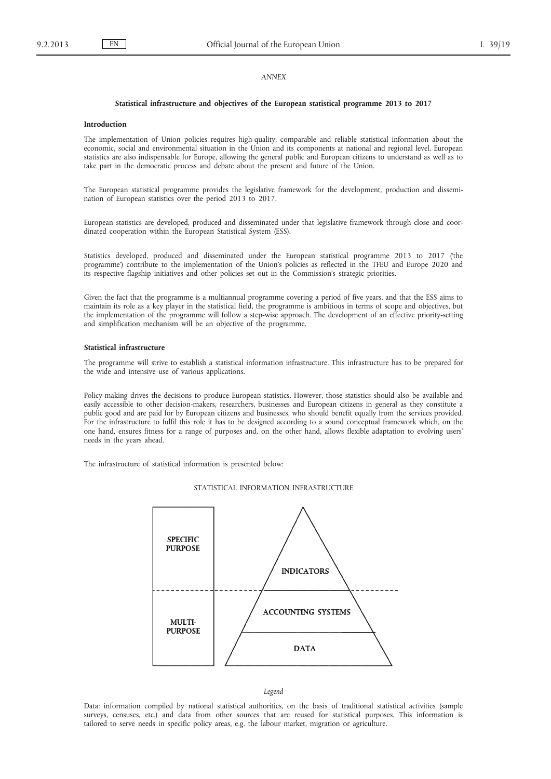## *ANNEX*

#### **Statistical infrastructure and objectives of the European statistical programme 2013 to 2017**

#### **Introduction**

The implementation of Union policies requires high-quality, comparable and reliable statistical information about the economic, social and environmental situation in the Union and its components at national and regional level. European statistics are also indispensable for Europe, allowing the general public and European citizens to understand as well as to take part in the democratic process and debate about the present and future of the Union.

The European statistical programme provides the legislative framework for the development, production and dissemination of European statistics over the period 2013 to 2017.

European statistics are developed, produced and disseminated under that legislative framework through close and coordinated cooperation within the European Statistical System (ESS).

Statistics developed, produced and disseminated under the European statistical programme 2013 to 2017 ('the programme') contribute to the implementation of the Union's policies as reflected in the TFEU and Europe 2020 and its respective flagship initiatives and other policies set out in the Commission's strategic priorities.

Given the fact that the programme is a multiannual programme covering a period of five years, and that the ESS aims to maintain its role as a key player in the statistical field, the programme is ambitious in terms of scope and objectives, but the implementation of the programme will follow a step-wise approach. The development of an effective priority-setting and simplification mechanism will be an objective of the programme.

### **Statistical infrastructure**

The programme will strive to establish a statistical information infrastructure. This infrastructure has to be prepared for the wide and intensive use of various applications.

Policy-making drives the decisions to produce European statistics. However, those statistics should also be available and easily accessible to other decision-makers, researchers, businesses and European citizens in general as they constitute a public good and are paid for by European citizens and businesses, who should benefit equally from the services provided. For the infrastructure to fulfil this role it has to be designed according to a sound conceptual framework which, on the one hand, ensures fitness for a range of purposes and, on the other hand, allows flexible adaptation to evolving users' needs in the years ahead.

The infrastructure of statistical information is presented below:

#### STATISTICAL INFORMATION INFRASTRUCTURE



*Legend*

Data: information compiled by national statistical authorities, on the basis of traditional statistical activities (sample surveys, censuses, etc.) and data from other sources that are reused for statistical purposes. This information is tailored to serve needs in specific policy areas, e.g. the labour market, migration or agriculture.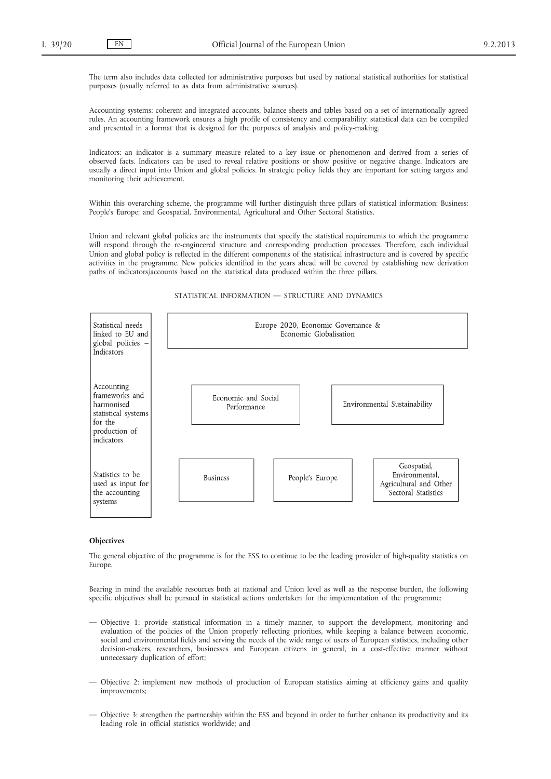The term also includes data collected for administrative purposes but used by national statistical authorities for statistical purposes (usually referred to as data from administrative sources).

Accounting systems: coherent and integrated accounts, balance sheets and tables based on a set of internationally agreed rules. An accounting framework ensures a high profile of consistency and comparability; statistical data can be compiled and presented in a format that is designed for the purposes of analysis and policy-making.

Indicators: an indicator is a summary measure related to a key issue or phenomenon and derived from a series of observed facts. Indicators can be used to reveal relative positions or show positive or negative change. Indicators are usually a direct input into Union and global policies. In strategic policy fields they are important for setting targets and monitoring their achievement.

Within this overarching scheme, the programme will further distinguish three pillars of statistical information: Business; People's Europe; and Geospatial, Environmental, Agricultural and Other Sectoral Statistics.

Union and relevant global policies are the instruments that specify the statistical requirements to which the programme will respond through the re-engineered structure and corresponding production processes. Therefore, each individual Union and global policy is reflected in the different components of the statistical infrastructure and is covered by specific activities in the programme. New policies identified in the years ahead will be covered by establishing new derivation paths of indicators/accounts based on the statistical data produced within the three pillars.



#### STATISTICAL INFORMATION — STRUCTURE AND DYNAMICS

## **Objectives**

The general objective of the programme is for the ESS to continue to be the leading provider of high-quality statistics on Europe.

Bearing in mind the available resources both at national and Union level as well as the response burden, the following specific objectives shall be pursued in statistical actions undertaken for the implementation of the programme:

- Objective 1: provide statistical information in a timely manner, to support the development, monitoring and evaluation of the policies of the Union properly reflecting priorities, while keeping a balance between economic, social and environmental fields and serving the needs of the wide range of users of European statistics, including other decision-makers, researchers, businesses and European citizens in general, in a cost-effective manner without unnecessary duplication of effort;
- Objective 2: implement new methods of production of European statistics aiming at efficiency gains and quality improvements;
- Objective 3: strengthen the partnership within the ESS and beyond in order to further enhance its productivity and its leading role in official statistics worldwide; and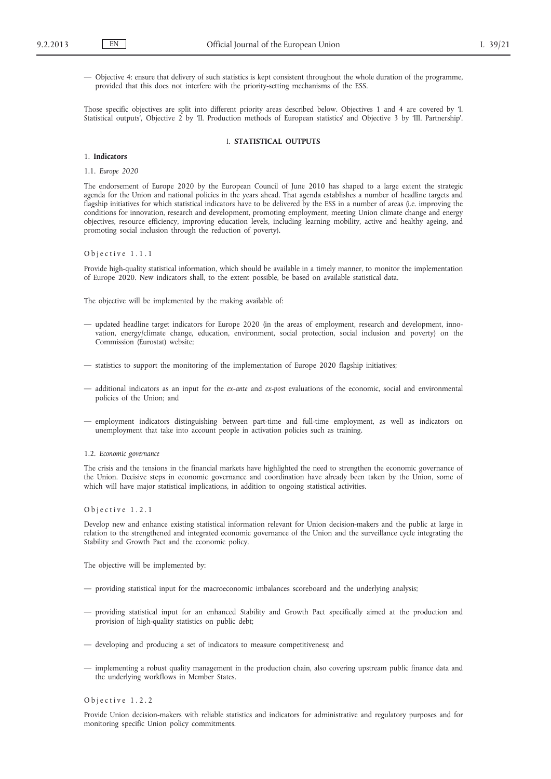— Objective 4: ensure that delivery of such statistics is kept consistent throughout the whole duration of the programme, provided that this does not interfere with the priority-setting mechanisms of the ESS.

Those specific objectives are split into different priority areas described below. Objectives 1 and 4 are covered by 'I. Statistical outputs', Objective 2 by 'II. Production methods of European statistics' and Objective 3 by 'III. Partnership'.

## I. **STATISTICAL OUTPUTS**

## 1. **Indicators**

1.1. *Europe 2020*

The endorsement of Europe 2020 by the European Council of June 2010 has shaped to a large extent the strategic agenda for the Union and national policies in the years ahead. That agenda establishes a number of headline targets and flagship initiatives for which statistical indicators have to be delivered by the ESS in a number of areas (i.e. improving the conditions for innovation, research and development, promoting employment, meeting Union climate change and energy objectives, resource efficiency, improving education levels, including learning mobility, active and healthy ageing, and promoting social inclusion through the reduction of poverty).

#### Objective 1.1.1

Provide high-quality statistical information, which should be available in a timely manner, to monitor the implementation of Europe 2020. New indicators shall, to the extent possible, be based on available statistical data.

The objective will be implemented by the making available of:

- updated headline target indicators for Europe 2020 (in the areas of employment, research and development, innovation, energy/climate change, education, environment, social protection, social inclusion and poverty) on the Commission (Eurostat) website;
- statistics to support the monitoring of the implementation of Europe 2020 flagship initiatives;
- additional indicators as an input for the *ex-ante* and *ex-post* evaluations of the economic, social and environmental policies of the Union; and
- employment indicators distinguishing between part-time and full-time employment, as well as indicators on unemployment that take into account people in activation policies such as training.

1.2. *Economic governance*

The crisis and the tensions in the financial markets have highlighted the need to strengthen the economic governance of the Union. Decisive steps in economic governance and coordination have already been taken by the Union, some of which will have major statistical implications, in addition to ongoing statistical activities.

O b j e c t i v e 1.2.1

Develop new and enhance existing statistical information relevant for Union decision-makers and the public at large in relation to the strengthened and integrated economic governance of the Union and the surveillance cycle integrating the Stability and Growth Pact and the economic policy.

The objective will be implemented by:

- providing statistical input for the macroeconomic imbalances scoreboard and the underlying analysis;
- providing statistical input for an enhanced Stability and Growth Pact specifically aimed at the production and provision of high-quality statistics on public debt;
- developing and producing a set of indicators to measure competitiveness; and
- implementing a robust quality management in the production chain, also covering upstream public finance data and the underlying workflows in Member States.

#### O b j e c t i v e 1.2.2

Provide Union decision-makers with reliable statistics and indicators for administrative and regulatory purposes and for monitoring specific Union policy commitments.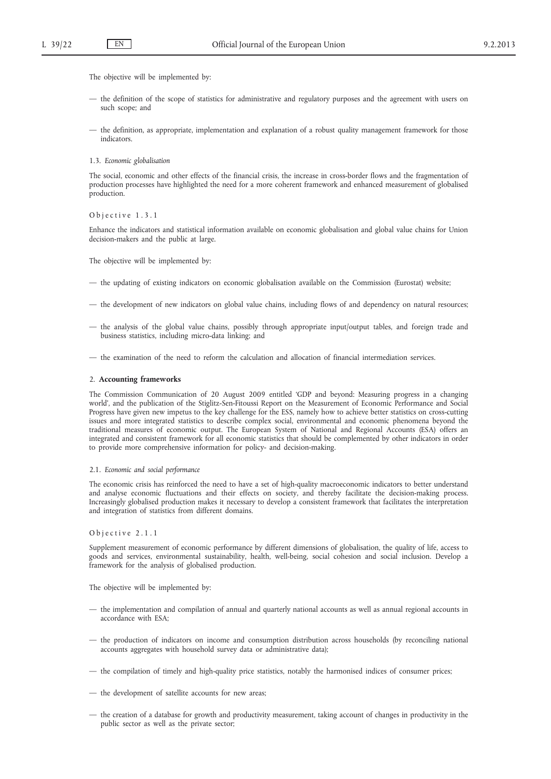The objective will be implemented by:

- the definition of the scope of statistics for administrative and regulatory purposes and the agreement with users on such scope; and
- the definition, as appropriate, implementation and explanation of a robust quality management framework for those indicators.
- 1.3. *Economic globalisation*

The social, economic and other effects of the financial crisis, the increase in cross-border flows and the fragmentation of production processes have highlighted the need for a more coherent framework and enhanced measurement of globalised production.

O b j e c t i v e 1.3.1

Enhance the indicators and statistical information available on economic globalisation and global value chains for Union decision-makers and the public at large.

The objective will be implemented by:

- the updating of existing indicators on economic globalisation available on the Commission (Eurostat) website;
- the development of new indicators on global value chains, including flows of and dependency on natural resources;
- the analysis of the global value chains, possibly through appropriate input/output tables, and foreign trade and business statistics, including micro-data linking; and
- the examination of the need to reform the calculation and allocation of financial intermediation services.

## 2. **Accounting frameworks**

The Commission Communication of 20 August 2009 entitled 'GDP and beyond: Measuring progress in a changing world', and the publication of the Stiglitz-Sen-Fitoussi Report on the Measurement of Economic Performance and Social Progress have given new impetus to the key challenge for the ESS, namely how to achieve better statistics on cross-cutting issues and more integrated statistics to describe complex social, environmental and economic phenomena beyond the traditional measures of economic output. The European System of National and Regional Accounts (ESA) offers an integrated and consistent framework for all economic statistics that should be complemented by other indicators in order to provide more comprehensive information for policy- and decision-making.

## 2.1. *Economic and social performance*

The economic crisis has reinforced the need to have a set of high-quality macroeconomic indicators to better understand and analyse economic fluctuations and their effects on society, and thereby facilitate the decision-making process. Increasingly globalised production makes it necessary to develop a consistent framework that facilitates the interpretation and integration of statistics from different domains.

## Objective 2.1.1

Supplement measurement of economic performance by different dimensions of globalisation, the quality of life, access to goods and services, environmental sustainability, health, well-being, social cohesion and social inclusion. Develop a framework for the analysis of globalised production.

- the implementation and compilation of annual and quarterly national accounts as well as annual regional accounts in accordance with ESA;
- the production of indicators on income and consumption distribution across households (by reconciling national accounts aggregates with household survey data or administrative data);
- the compilation of timely and high-quality price statistics, notably the harmonised indices of consumer prices;
- the development of satellite accounts for new areas;
- the creation of a database for growth and productivity measurement, taking account of changes in productivity in the public sector as well as the private sector;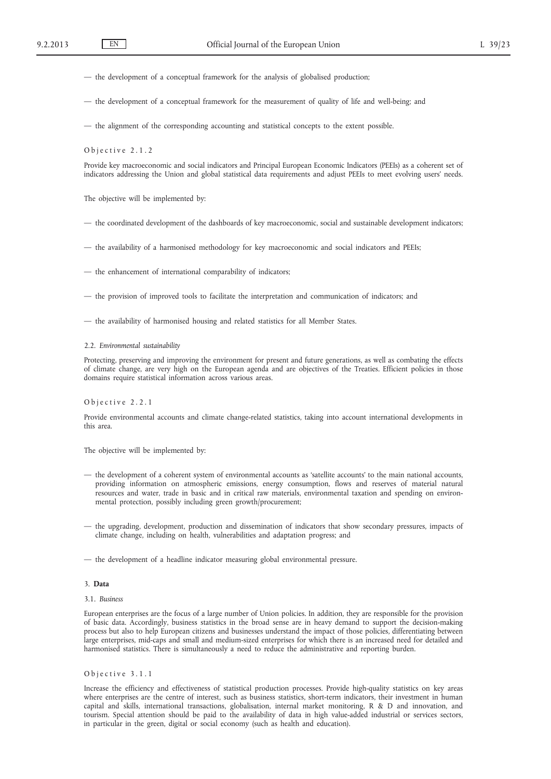— the development of a conceptual framework for the analysis of globalised production;

— the development of a conceptual framework for the measurement of quality of life and well-being; and

— the alignment of the corresponding accounting and statistical concepts to the extent possible.

O b j e c t i v e 2.1.2

Provide key macroeconomic and social indicators and Principal European Economic Indicators (PEEIs) as a coherent set of indicators addressing the Union and global statistical data requirements and adjust PEEIs to meet evolving users' needs.

The objective will be implemented by:

— the coordinated development of the dashboards of key macroeconomic, social and sustainable development indicators;

— the availability of a harmonised methodology for key macroeconomic and social indicators and PEEIs;

— the enhancement of international comparability of indicators;

— the provision of improved tools to facilitate the interpretation and communication of indicators; and

— the availability of harmonised housing and related statistics for all Member States.

#### 2.2. *Environmental sustainability*

Protecting, preserving and improving the environment for present and future generations, as well as combating the effects of climate change, are very high on the European agenda and are objectives of the Treaties. Efficient policies in those domains require statistical information across various areas.

# Objective 2.2.1

Provide environmental accounts and climate change-related statistics, taking into account international developments in this area.

The objective will be implemented by:

- the development of a coherent system of environmental accounts as 'satellite accounts' to the main national accounts, providing information on atmospheric emissions, energy consumption, flows and reserves of material natural resources and water, trade in basic and in critical raw materials, environmental taxation and spending on environmental protection, possibly including green growth/procurement;
- the upgrading, development, production and dissemination of indicators that show secondary pressures, impacts of climate change, including on health, vulnerabilities and adaptation progress; and
- the development of a headline indicator measuring global environmental pressure.

# 3. **Data**

#### 3.1. *Business*

European enterprises are the focus of a large number of Union policies. In addition, they are responsible for the provision of basic data. Accordingly, business statistics in the broad sense are in heavy demand to support the decision-making process but also to help European citizens and businesses understand the impact of those policies, differentiating between large enterprises, mid-caps and small and medium-sized enterprises for which there is an increased need for detailed and harmonised statistics. There is simultaneously a need to reduce the administrative and reporting burden.

## O b j e c t i v e 3.1.1

Increase the efficiency and effectiveness of statistical production processes. Provide high-quality statistics on key areas where enterprises are the centre of interest, such as business statistics, short-term indicators, their investment in human capital and skills, international transactions, globalisation, internal market monitoring, R & D and innovation, and tourism. Special attention should be paid to the availability of data in high value-added industrial or services sectors, in particular in the green, digital or social economy (such as health and education).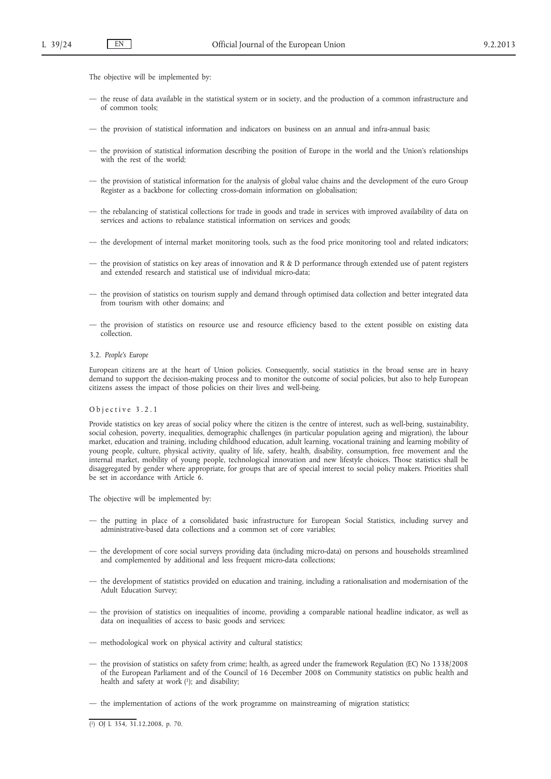The objective will be implemented by:

- the reuse of data available in the statistical system or in society, and the production of a common infrastructure and of common tools;
- the provision of statistical information and indicators on business on an annual and infra-annual basis;
- the provision of statistical information describing the position of Europe in the world and the Union's relationships with the rest of the world;
- the provision of statistical information for the analysis of global value chains and the development of the euro Group Register as a backbone for collecting cross-domain information on globalisation;
- the rebalancing of statistical collections for trade in goods and trade in services with improved availability of data on services and actions to rebalance statistical information on services and goods;
- the development of internal market monitoring tools, such as the food price monitoring tool and related indicators;
- the provision of statistics on key areas of innovation and R & D performance through extended use of patent registers and extended research and statistical use of individual micro-data;
- the provision of statistics on tourism supply and demand through optimised data collection and better integrated data from tourism with other domains; and
- the provision of statistics on resource use and resource efficiency based to the extent possible on existing data collection.
- 3.2. *People's Europe*

European citizens are at the heart of Union policies. Consequently, social statistics in the broad sense are in heavy demand to support the decision-making process and to monitor the outcome of social policies, but also to help European citizens assess the impact of those policies on their lives and well-being.

#### O b j e c t i v e 3.2.1

Provide statistics on key areas of social policy where the citizen is the centre of interest, such as well-being, sustainability, social cohesion, poverty, inequalities, demographic challenges (in particular population ageing and migration), the labour market, education and training, including childhood education, adult learning, vocational training and learning mobility of young people, culture, physical activity, quality of life, safety, health, disability, consumption, free movement and the internal market, mobility of young people, technological innovation and new lifestyle choices. Those statistics shall be disaggregated by gender where appropriate, for groups that are of special interest to social policy makers. Priorities shall be set in accordance with Article 6.

- the putting in place of a consolidated basic infrastructure for European Social Statistics, including survey and administrative-based data collections and a common set of core variables;
- the development of core social surveys providing data (including micro-data) on persons and households streamlined and complemented by additional and less frequent micro-data collections;
- the development of statistics provided on education and training, including a rationalisation and modernisation of the Adult Education Survey;
- the provision of statistics on inequalities of income, providing a comparable national headline indicator, as well as data on inequalities of access to basic goods and services;
- methodological work on physical activity and cultural statistics;
- the provision of statistics on safety from crime; health, as agreed under the framework Regulation (EC) No 1338/2008 of the European Parliament and of the Council of 16 December 2008 on Community statistics on public health and health and safety at work (1); and disability;
- the implementation of actions of the work programme on mainstreaming of migration statistics;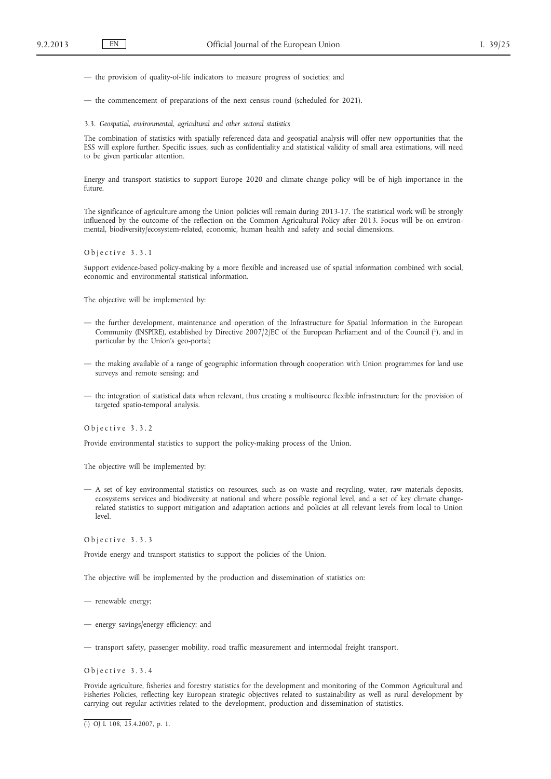— the provision of quality-of-life indicators to measure progress of societies; and

— the commencement of preparations of the next census round (scheduled for 2021).

3.3. *Geospatial, environmental, agricultural and other sectoral statistics*

The combination of statistics with spatially referenced data and geospatial analysis will offer new opportunities that the ESS will explore further. Specific issues, such as confidentiality and statistical validity of small area estimations, will need to be given particular attention.

Energy and transport statistics to support Europe 2020 and climate change policy will be of high importance in the future.

The significance of agriculture among the Union policies will remain during 2013-17. The statistical work will be strongly influenced by the outcome of the reflection on the Common Agricultural Policy after 2013. Focus will be on environmental, biodiversity/ecosystem-related, economic, human health and safety and social dimensions.

### O b j e c t i v e 3.3.1

Support evidence-based policy-making by a more flexible and increased use of spatial information combined with social, economic and environmental statistical information.

The objective will be implemented by:

- the further development, maintenance and operation of the Infrastructure for Spatial Information in the European Community (INSPIRE), established by Directive 2007/2/EC of the European Parliament and of the Council (1), and in particular by the Union's geo-portal;
- the making available of a range of geographic information through cooperation with Union programmes for land use surveys and remote sensing; and
- the integration of statistical data when relevant, thus creating a multisource flexible infrastructure for the provision of targeted spatio-temporal analysis.

O b j e c t i v e 3.3.2

Provide environmental statistics to support the policy-making process of the Union.

The objective will be implemented by:

— A set of key environmental statistics on resources, such as on waste and recycling, water, raw materials deposits, ecosystems services and biodiversity at national and where possible regional level, and a set of key climate changerelated statistics to support mitigation and adaptation actions and policies at all relevant levels from local to Union level.

O b j e c t i v e 3.3.3

Provide energy and transport statistics to support the policies of the Union.

The objective will be implemented by the production and dissemination of statistics on:

— renewable energy;

- energy savings/energy efficiency; and
- transport safety, passenger mobility, road traffic measurement and intermodal freight transport.

O b j e c t i v e 3.3.4

Provide agriculture, fisheries and forestry statistics for the development and monitoring of the Common Agricultural and Fisheries Policies, reflecting key European strategic objectives related to sustainability as well as rural development by carrying out regular activities related to the development, production and dissemination of statistics.

<sup>(</sup> 1) OJ L 108, 25.4.2007, p. 1.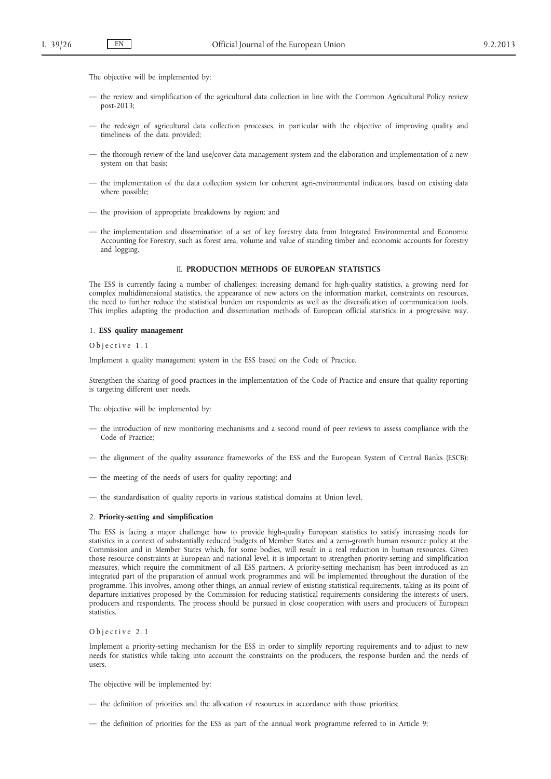The objective will be implemented by:

- the review and simplification of the agricultural data collection in line with the Common Agricultural Policy review post-2013;
- the redesign of agricultural data collection processes, in particular with the objective of improving quality and timeliness of the data provided;
- the thorough review of the land use/cover data management system and the elaboration and implementation of a new system on that basis;
- the implementation of the data collection system for coherent agri-environmental indicators, based on existing data where possible;
- the provision of appropriate breakdowns by region; and
- the implementation and dissemination of a set of key forestry data from Integrated Environmental and Economic Accounting for Forestry, such as forest area, volume and value of standing timber and economic accounts for forestry and logging.

#### II. **PRODUCTION METHODS OF EUROPEAN STATISTICS**

The ESS is currently facing a number of challenges: increasing demand for high-quality statistics, a growing need for complex multidimensional statistics, the appearance of new actors on the information market, constraints on resources, the need to further reduce the statistical burden on respondents as well as the diversification of communication tools. This implies adapting the production and dissemination methods of European official statistics in a progressive way.

#### 1. **ESS quality management**

Objective 1.1

Implement a quality management system in the ESS based on the Code of Practice.

Strengthen the sharing of good practices in the implementation of the Code of Practice and ensure that quality reporting is targeting different user needs.

The objective will be implemented by:

- the introduction of new monitoring mechanisms and a second round of peer reviews to assess compliance with the Code of Practice;
- the alignment of the quality assurance frameworks of the ESS and the European System of Central Banks (ESCB);
- the meeting of the needs of users for quality reporting; and
- the standardisation of quality reports in various statistical domains at Union level.

#### 2. **Priority-setting and simplification**

The ESS is facing a major challenge: how to provide high-quality European statistics to satisfy increasing needs for statistics in a context of substantially reduced budgets of Member States and a zero-growth human resource policy at the Commission and in Member States which, for some bodies, will result in a real reduction in human resources. Given those resource constraints at European and national level, it is important to strengthen priority-setting and simplification measures, which require the commitment of all ESS partners. A priority-setting mechanism has been introduced as an integrated part of the preparation of annual work programmes and will be implemented throughout the duration of the programme. This involves, among other things, an annual review of existing statistical requirements, taking as its point of departure initiatives proposed by the Commission for reducing statistical requirements considering the interests of users, producers and respondents. The process should be pursued in close cooperation with users and producers of European statistics.

## Objective 2.1

Implement a priority-setting mechanism for the ESS in order to simplify reporting requirements and to adjust to new needs for statistics while taking into account the constraints on the producers, the response burden and the needs of users.

- the definition of priorities and the allocation of resources in accordance with those priorities;
- the definition of priorities for the ESS as part of the annual work programme referred to in Article 9;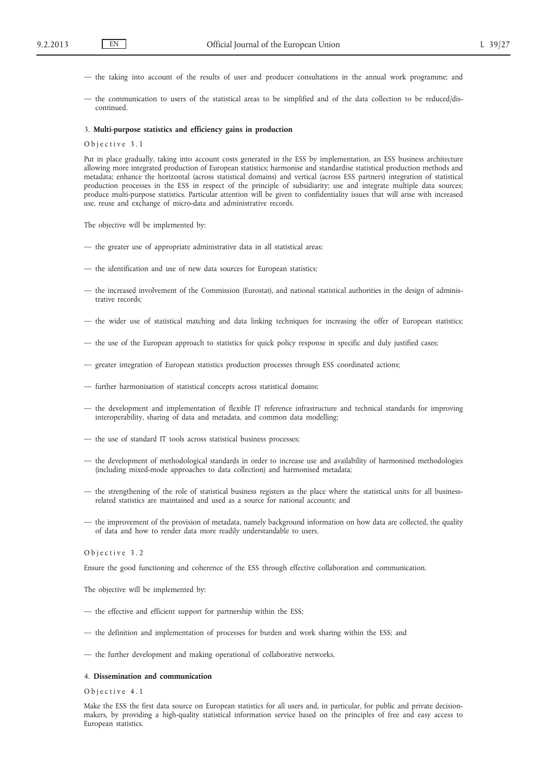- the taking into account of the results of user and producer consultations in the annual work programme; and
- the communication to users of the statistical areas to be simplified and of the data collection to be reduced/discontinued.

#### 3. **Multi-purpose statistics and efficiency gains in production**

Objective 3.1

Put in place gradually, taking into account costs generated in the ESS by implementation, an ESS business architecture allowing more integrated production of European statistics; harmonise and standardise statistical production methods and metadata; enhance the horizontal (across statistical domains) and vertical (across ESS partners) integration of statistical production processes in the ESS in respect of the principle of subsidiarity; use and integrate multiple data sources; produce multi-purpose statistics. Particular attention will be given to confidentiality issues that will arise with increased use, reuse and exchange of micro-data and administrative records.

The objective will be implemented by:

- the greater use of appropriate administrative data in all statistical areas;
- the identification and use of new data sources for European statistics;
- the increased involvement of the Commission (Eurostat), and national statistical authorities in the design of administrative records;
- the wider use of statistical matching and data linking techniques for increasing the offer of European statistics;
- the use of the European approach to statistics for quick policy response in specific and duly justified cases;
- greater integration of European statistics production processes through ESS coordinated actions;
- further harmonisation of statistical concepts across statistical domains;
- the development and implementation of flexible IT reference infrastructure and technical standards for improving interoperability, sharing of data and metadata, and common data modelling;
- the use of standard IT tools across statistical business processes;
- the development of methodological standards in order to increase use and availability of harmonised methodologies (including mixed-mode approaches to data collection) and harmonised metadata;
- the strengthening of the role of statistical business registers as the place where the statistical units for all businessrelated statistics are maintained and used as a source for national accounts; and
- the improvement of the provision of metadata, namely background information on how data are collected, the quality of data and how to render data more readily understandable to users.

### Objective 3.2

Ensure the good functioning and coherence of the ESS through effective collaboration and communication.

The objective will be implemented by:

- the effective and efficient support for partnership within the ESS;
- the definition and implementation of processes for burden and work sharing within the ESS; and
- the further development and making operational of collaborative networks.

### 4. **Dissemination and communication**

Obiective 4.1

Make the ESS the first data source on European statistics for all users and, in particular, for public and private decisionmakers, by providing a high-quality statistical information service based on the principles of free and easy access to European statistics.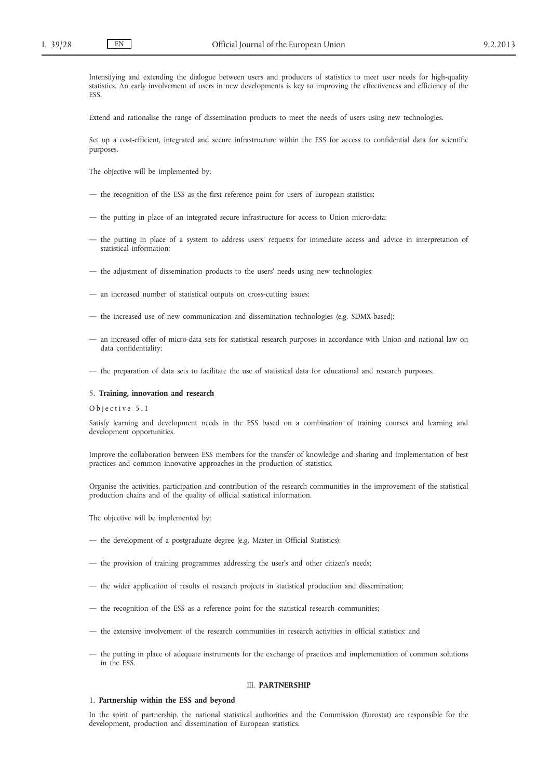Intensifying and extending the dialogue between users and producers of statistics to meet user needs for high-quality statistics. An early involvement of users in new developments is key to improving the effectiveness and efficiency of the ESS.

Extend and rationalise the range of dissemination products to meet the needs of users using new technologies.

Set up a cost-efficient, integrated and secure infrastructure within the ESS for access to confidential data for scientific purposes.

The objective will be implemented by:

- the recognition of the ESS as the first reference point for users of European statistics;
- the putting in place of an integrated secure infrastructure for access to Union micro-data;
- the putting in place of a system to address users' requests for immediate access and advice in interpretation of statistical information;
- the adjustment of dissemination products to the users' needs using new technologies;
- an increased number of statistical outputs on cross-cutting issues;
- the increased use of new communication and dissemination technologies (e.g. SDMX-based);
- an increased offer of micro-data sets for statistical research purposes in accordance with Union and national law on data confidentiality;
- the preparation of data sets to facilitate the use of statistical data for educational and research purposes.

## 5. **Training, innovation and research**

## O b j e c t i v e 5.1

Satisfy learning and development needs in the ESS based on a combination of training courses and learning and development opportunities.

Improve the collaboration between ESS members for the transfer of knowledge and sharing and implementation of best practices and common innovative approaches in the production of statistics.

Organise the activities, participation and contribution of the research communities in the improvement of the statistical production chains and of the quality of official statistical information.

The objective will be implemented by:

- the development of a postgraduate degree (e.g. Master in Official Statistics);
- the provision of training programmes addressing the user's and other citizen's needs;
- the wider application of results of research projects in statistical production and dissemination;
- the recognition of the ESS as a reference point for the statistical research communities;
- the extensive involvement of the research communities in research activities in official statistics; and
- the putting in place of adequate instruments for the exchange of practices and implementation of common solutions in the ESS.

## III. **PARTNERSHIP**

#### 1. **Partnership within the ESS and beyond**

In the spirit of partnership, the national statistical authorities and the Commission (Eurostat) are responsible for the development, production and dissemination of European statistics.